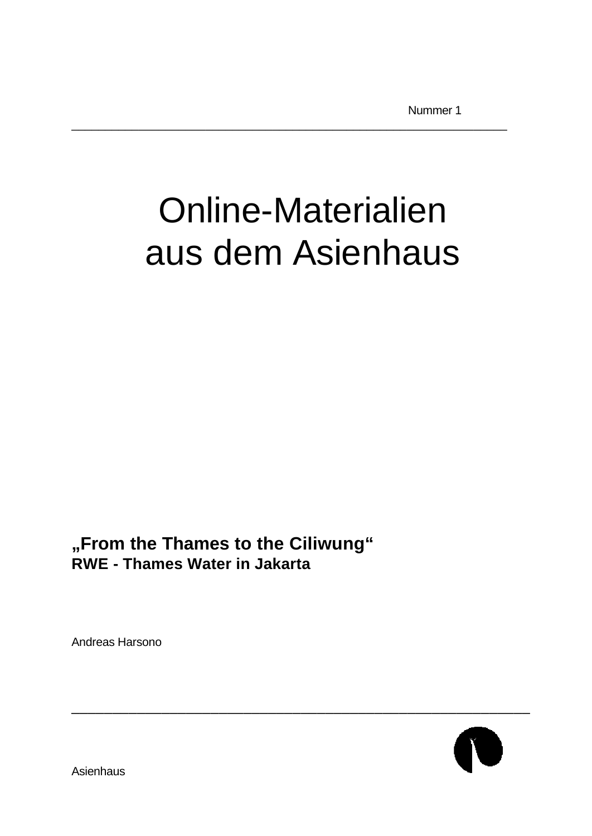# Online-Materialien aus dem Asienhaus

\_\_\_\_\_\_\_\_\_\_\_\_\_\_\_\_\_\_\_\_\_\_\_\_\_\_\_\_\_\_\_\_\_\_\_\_\_\_\_\_\_\_\_\_\_\_\_\_\_\_\_\_\_\_\_\_\_\_\_\_\_\_\_\_\_

**"From the Thames to the Ciliwung" RWE - Thames Water in Jakarta**

Andreas Harsono

\_\_\_\_\_\_\_\_\_\_\_\_\_\_\_\_\_\_\_\_\_\_\_\_\_\_\_\_\_\_\_\_\_\_\_\_\_\_\_\_\_\_\_\_\_\_\_\_\_\_\_\_\_\_\_\_

**Asienhaus**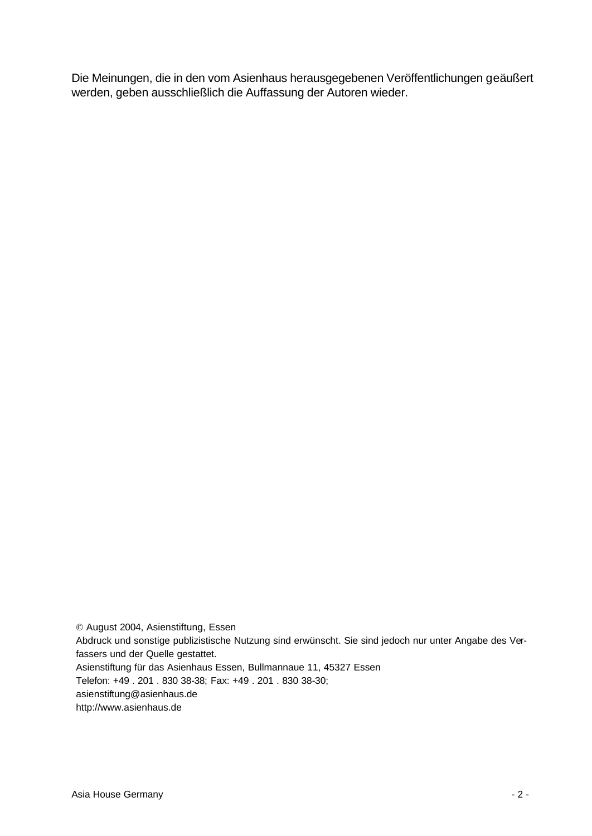Die Meinungen, die in den vom Asienhaus herausgegebenen Veröffentlichungen geäußert werden, geben ausschließlich die Auffassung der Autoren wieder.

© August 2004, Asienstiftung, Essen Abdruck und sonstige publizistische Nutzung sind erwünscht. Sie sind jedoch nur unter Angabe des Verfassers und der Quelle gestattet. Asienstiftung für das Asienhaus Essen, Bullmannaue 11, 45327 Essen Telefon: +49 . 201 . 830 38-38; Fax: +49 . 201 . 830 38-30; asienstiftung@asienhaus.de http://www.asienhaus.de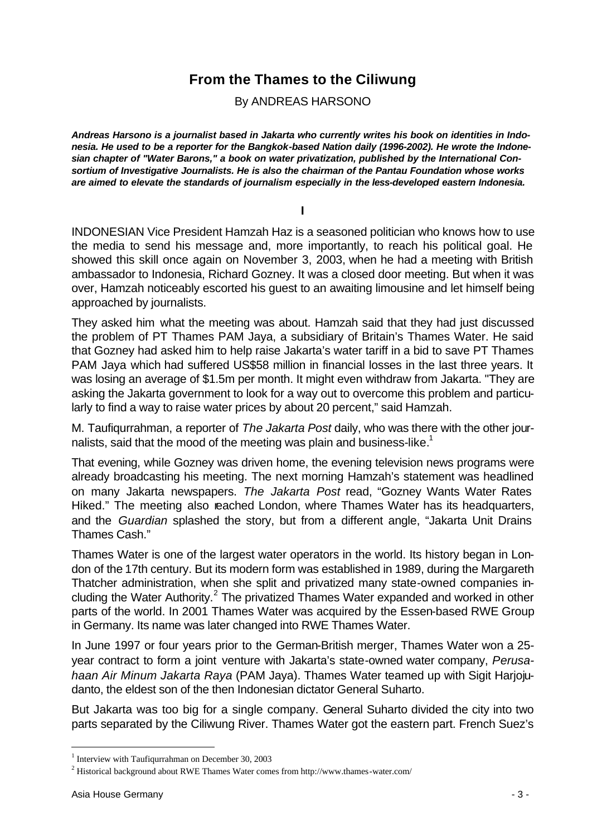## **From the Thames to the Ciliwung**

By ANDREAS HARSONO

*Andreas Harsono is a journalist based in Jakarta who currently writes his book on identities in Indonesia. He used to be a reporter for the Bangkok-based Nation daily (1996-2002). He wrote the Indonesian chapter of "Water Barons," a book on water privatization, published by the International Consortium of Investigative Journalists. He is also the chairman of the Pantau Foundation whose works are aimed to elevate the standards of journalism especially in the less-developed eastern Indonesia.*

**I**

INDONESIAN Vice President Hamzah Haz is a seasoned politician who knows how to use the media to send his message and, more importantly, to reach his political goal. He showed this skill once again on November 3, 2003, when he had a meeting with British ambassador to Indonesia, Richard Gozney. It was a closed door meeting. But when it was over, Hamzah noticeably escorted his guest to an awaiting limousine and let himself being approached by journalists.

They asked him what the meeting was about. Hamzah said that they had just discussed the problem of PT Thames PAM Jaya, a subsidiary of Britain's Thames Water. He said that Gozney had asked him to help raise Jakarta's water tariff in a bid to save PT Thames PAM Jaya which had suffered US\$58 million in financial losses in the last three years. It was losing an average of \$1.5m per month. It might even withdraw from Jakarta. "They are asking the Jakarta government to look for a way out to overcome this problem and particularly to find a way to raise water prices by about 20 percent," said Hamzah.

M. Taufiqurrahman, a reporter of *The Jakarta Post* daily, who was there with the other journalists, said that the mood of the meeting was plain and business-like.<sup>1</sup>

That evening, while Gozney was driven home, the evening television news programs were already broadcasting his meeting. The next morning Hamzah's statement was headlined on many Jakarta newspapers. *The Jakarta Post* read, "Gozney Wants Water Rates Hiked." The meeting also reached London, where Thames Water has its headquarters, and the *Guardian* splashed the story, but from a different angle, "Jakarta Unit Drains Thames Cash."

Thames Water is one of the largest water operators in the world. Its history began in London of the 17th century. But its modern form was established in 1989, during the Margareth Thatcher administration, when she split and privatized many state-owned companies including the Water Authority.<sup>2</sup> The privatized Thames Water expanded and worked in other parts of the world. In 2001 Thames Water was acquired by the Essen-based RWE Group in Germany. Its name was later changed into RWE Thames Water.

In June 1997 or four years prior to the German-British merger, Thames Water won a 25 year contract to form a joint venture with Jakarta's state-owned water company, *Perusahaan Air Minum Jakarta Raya* (PAM Jaya). Thames Water teamed up with Sigit Harjojudanto, the eldest son of the then Indonesian dictator General Suharto.

But Jakarta was too big for a single company. General Suharto divided the city into two parts separated by the Ciliwung River. Thames Water got the eastern part. French Suez's

<sup>&</sup>lt;sup>1</sup> Interview with Taufiqurrahman on December 30, 2003

 $2$  Historical background about RWE Thames Water comes from http://www.thames-water.com/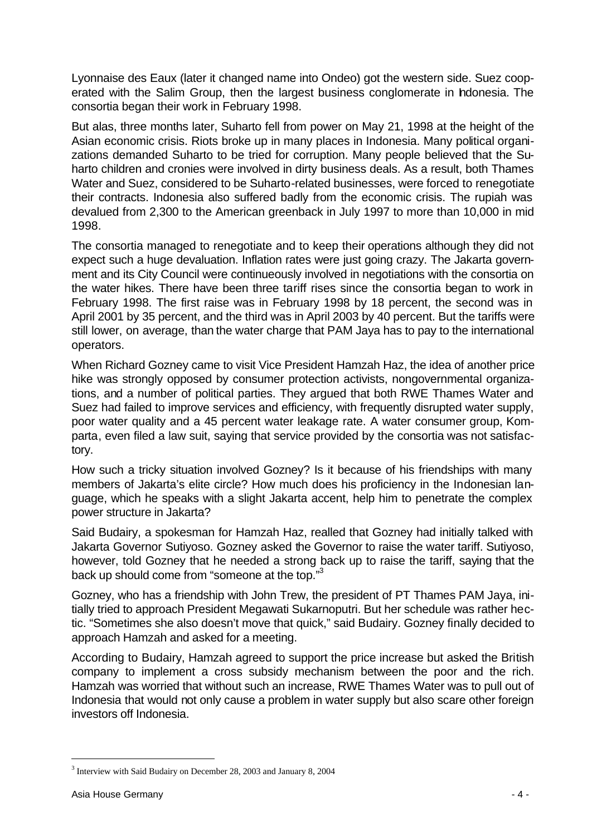Lyonnaise des Eaux (later it changed name into Ondeo) got the western side. Suez cooperated with the Salim Group, then the largest business conglomerate in Indonesia. The consortia began their work in February 1998.

But alas, three months later, Suharto fell from power on May 21, 1998 at the height of the Asian economic crisis. Riots broke up in many places in Indonesia. Many political organizations demanded Suharto to be tried for corruption. Many people believed that the Suharto children and cronies were involved in dirty business deals. As a result, both Thames Water and Suez, considered to be Suharto-related businesses, were forced to renegotiate their contracts. Indonesia also suffered badly from the economic crisis. The rupiah was devalued from 2,300 to the American greenback in July 1997 to more than 10,000 in mid 1998.

The consortia managed to renegotiate and to keep their operations although they did not expect such a huge devaluation. Inflation rates were just going crazy. The Jakarta government and its City Council were continueously involved in negotiations with the consortia on the water hikes. There have been three tariff rises since the consortia began to work in February 1998. The first raise was in February 1998 by 18 percent, the second was in April 2001 by 35 percent, and the third was in April 2003 by 40 percent. But the tariffs were still lower, on average, than the water charge that PAM Jaya has to pay to the international operators.

When Richard Gozney came to visit Vice President Hamzah Haz, the idea of another price hike was strongly opposed by consumer protection activists, nongovernmental organizations, and a number of political parties. They argued that both RWE Thames Water and Suez had failed to improve services and efficiency, with frequently disrupted water supply, poor water quality and a 45 percent water leakage rate. A water consumer group, Komparta, even filed a law suit, saying that service provided by the consortia was not satisfactory.

How such a tricky situation involved Gozney? Is it because of his friendships with many members of Jakarta's elite circle? How much does his proficiency in the Indonesian language, which he speaks with a slight Jakarta accent, help him to penetrate the complex power structure in Jakarta?

Said Budairy, a spokesman for Hamzah Haz, realled that Gozney had initially talked with Jakarta Governor Sutiyoso. Gozney asked the Governor to raise the water tariff. Sutiyoso, however, told Gozney that he needed a strong back up to raise the tariff, saying that the back up should come from "someone at the top."<sup>3</sup>

Gozney, who has a friendship with John Trew, the president of PT Thames PAM Jaya, initially tried to approach President Megawati Sukarnoputri. But her schedule was rather hectic. "Sometimes she also doesn't move that quick," said Budairy. Gozney finally decided to approach Hamzah and asked for a meeting.

According to Budairy, Hamzah agreed to support the price increase but asked the British company to implement a cross subsidy mechanism between the poor and the rich. Hamzah was worried that without such an increase, RWE Thames Water was to pull out of Indonesia that would not only cause a problem in water supply but also scare other foreign investors off Indonesia.

<sup>&</sup>lt;sup>3</sup> Interview with Said Budairy on December 28, 2003 and January 8, 2004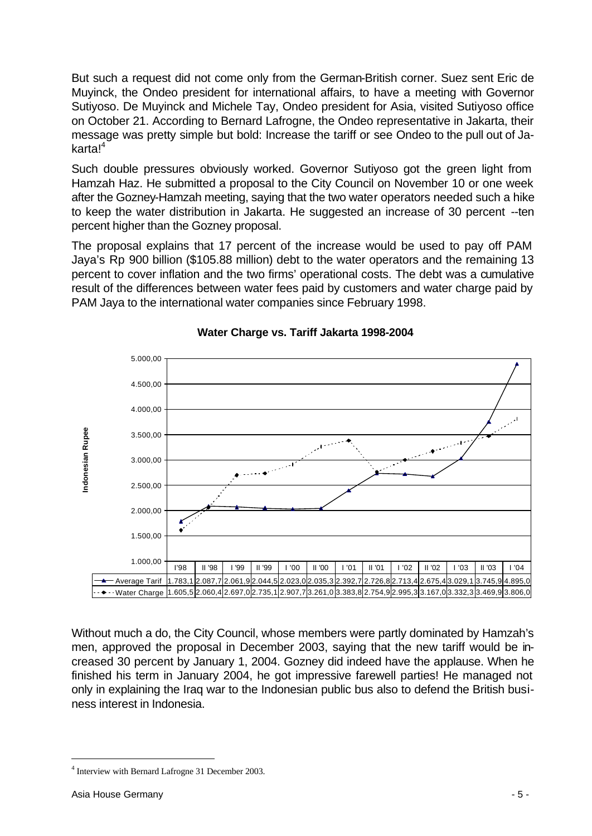But such a request did not come only from the German-British corner. Suez sent Eric de Muyinck, the Ondeo president for international affairs, to have a meeting with Governor Sutiyoso. De Muyinck and Michele Tay, Ondeo president for Asia, visited Sutiyoso office on October 21. According to Bernard Lafrogne, the Ondeo representative in Jakarta, their message was pretty simple but bold: Increase the tariff or see Ondeo to the pull out of Ja $k$ arta! $4$ 

Such double pressures obviously worked. Governor Sutiyoso got the green light from Hamzah Haz. He submitted a proposal to the City Council on November 10 or one week after the Gozney-Hamzah meeting, saying that the two water operators needed such a hike to keep the water distribution in Jakarta. He suggested an increase of 30 percent --ten percent higher than the Gozney proposal.

The proposal explains that 17 percent of the increase would be used to pay off PAM Jaya's Rp 900 billion (\$105.88 million) debt to the water operators and the remaining 13 percent to cover inflation and the two firms' operational costs. The debt was a cumulative result of the differences between water fees paid by customers and water charge paid by PAM Jaya to the international water companies since February 1998.



#### **Water Charge vs. Tariff Jakarta 1998-2004**

Without much a do, the City Council, whose members were partly dominated by Hamzah's men, approved the proposal in December 2003, saying that the new tariff would be increased 30 percent by January 1, 2004. Gozney did indeed have the applause. When he finished his term in January 2004, he got impressive farewell parties! He managed not only in explaining the Iraq war to the Indonesian public bus also to defend the British business interest in Indonesia.

<sup>&</sup>lt;sup>4</sup> Interview with Bernard Lafrogne 31 December 2003.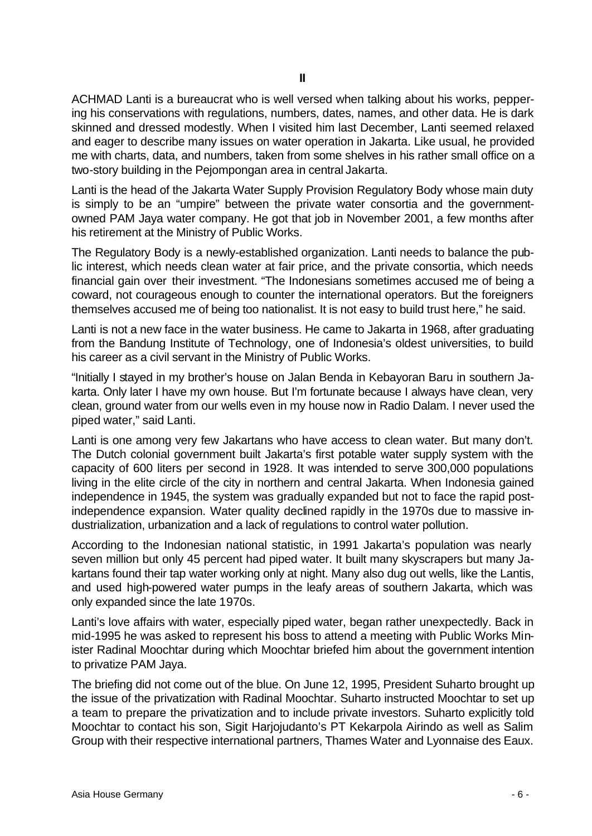ACHMAD Lanti is a bureaucrat who is well versed when talking about his works, peppering his conservations with regulations, numbers, dates, names, and other data. He is dark skinned and dressed modestly. When I visited him last December, Lanti seemed relaxed and eager to describe many issues on water operation in Jakarta. Like usual, he provided me with charts, data, and numbers, taken from some shelves in his rather small office on a two-story building in the Pejompongan area in central Jakarta.

Lanti is the head of the Jakarta Water Supply Provision Regulatory Body whose main duty is simply to be an "umpire" between the private water consortia and the governmentowned PAM Jaya water company. He got that job in November 2001, a few months after his retirement at the Ministry of Public Works.

The Regulatory Body is a newly-established organization. Lanti needs to balance the public interest, which needs clean water at fair price, and the private consortia, which needs financial gain over their investment. "The Indonesians sometimes accused me of being a coward, not courageous enough to counter the international operators. But the foreigners themselves accused me of being too nationalist. It is not easy to build trust here," he said.

Lanti is not a new face in the water business. He came to Jakarta in 1968, after graduating from the Bandung Institute of Technology, one of Indonesia's oldest universities, to build his career as a civil servant in the Ministry of Public Works.

"Initially I stayed in my brother's house on Jalan Benda in Kebayoran Baru in southern Jakarta. Only later I have my own house. But I'm fortunate because I always have clean, very clean, ground water from our wells even in my house now in Radio Dalam. I never used the piped water," said Lanti.

Lanti is one among very few Jakartans who have access to clean water. But many don't. The Dutch colonial government built Jakarta's first potable water supply system with the capacity of 600 liters per second in 1928. It was intended to serve 300,000 populations living in the elite circle of the city in northern and central Jakarta. When Indonesia gained independence in 1945, the system was gradually expanded but not to face the rapid postindependence expansion. Water quality declined rapidly in the 1970s due to massive industrialization, urbanization and a lack of regulations to control water pollution.

According to the Indonesian national statistic, in 1991 Jakarta's population was nearly seven million but only 45 percent had piped water. It built many skyscrapers but many Jakartans found their tap water working only at night. Many also dug out wells, like the Lantis, and used high-powered water pumps in the leafy areas of southern Jakarta, which was only expanded since the late 1970s.

Lanti's love affairs with water, especially piped water, began rather unexpectedly. Back in mid-1995 he was asked to represent his boss to attend a meeting with Public Works Minister Radinal Moochtar during which Moochtar briefed him about the government intention to privatize PAM Jaya.

The briefing did not come out of the blue. On June 12, 1995, President Suharto brought up the issue of the privatization with Radinal Moochtar. Suharto instructed Moochtar to set up a team to prepare the privatization and to include private investors. Suharto explicitly told Moochtar to contact his son, Sigit Harjojudanto's PT Kekarpola Airindo as well as Salim Group with their respective international partners, Thames Water and Lyonnaise des Eaux.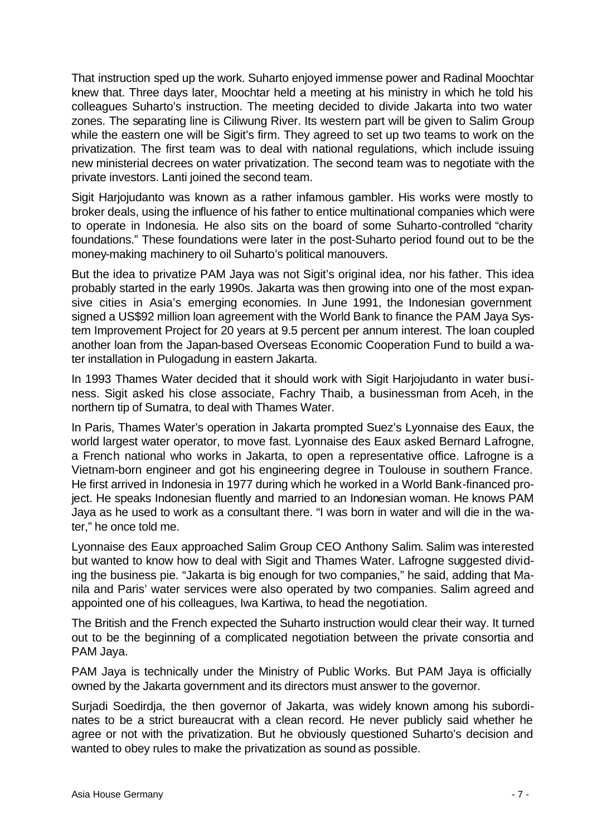That instruction sped up the work. Suharto enjoyed immense power and Radinal Moochtar knew that. Three days later, Moochtar held a meeting at his ministry in which he told his colleagues Suharto's instruction. The meeting decided to divide Jakarta into two water zones. The separating line is Ciliwung River. Its western part will be given to Salim Group while the eastern one will be Sigit's firm. They agreed to set up two teams to work on the privatization. The first team was to deal with national regulations, which include issuing new ministerial decrees on water privatization. The second team was to negotiate with the private investors. Lanti joined the second team.

Sigit Harjojudanto was known as a rather infamous gambler. His works were mostly to broker deals, using the influence of his father to entice multinational companies which were to operate in Indonesia. He also sits on the board of some Suharto-controlled "charity foundations." These foundations were later in the post-Suharto period found out to be the money-making machinery to oil Suharto's political manouvers.

But the idea to privatize PAM Jaya was not Sigit's original idea, nor his father. This idea probably started in the early 1990s. Jakarta was then growing into one of the most expansive cities in Asia's emerging economies. In June 1991, the Indonesian government signed a US\$92 million loan agreement with the World Bank to finance the PAM Jaya System Improvement Project for 20 years at 9.5 percent per annum interest. The loan coupled another loan from the Japan-based Overseas Economic Cooperation Fund to build a water installation in Pulogadung in eastern Jakarta.

In 1993 Thames Water decided that it should work with Sigit Harjojudanto in water business. Sigit asked his close associate, Fachry Thaib, a businessman from Aceh, in the northern tip of Sumatra, to deal with Thames Water.

In Paris, Thames Water's operation in Jakarta prompted Suez's Lyonnaise des Eaux, the world largest water operator, to move fast. Lyonnaise des Eaux asked Bernard Lafrogne, a French national who works in Jakarta, to open a representative office. Lafrogne is a Vietnam-born engineer and got his engineering degree in Toulouse in southern France. He first arrived in Indonesia in 1977 during which he worked in a World Bank-financed project. He speaks Indonesian fluently and married to an Indonesian woman. He knows PAM Jaya as he used to work as a consultant there. "I was born in water and will die in the water," he once told me.

Lyonnaise des Eaux approached Salim Group CEO Anthony Salim. Salim was interested but wanted to know how to deal with Sigit and Thames Water. Lafrogne suggested dividing the business pie. "Jakarta is big enough for two companies," he said, adding that Manila and Paris' water services were also operated by two companies. Salim agreed and appointed one of his colleagues, Iwa Kartiwa, to head the negotiation.

The British and the French expected the Suharto instruction would clear their way. It turned out to be the beginning of a complicated negotiation between the private consortia and PAM Jaya.

PAM Jaya is technically under the Ministry of Public Works. But PAM Jaya is officially owned by the Jakarta government and its directors must answer to the governor.

Surjadi Soedirdja, the then governor of Jakarta, was widely known among his subordinates to be a strict bureaucrat with a clean record. He never publicly said whether he agree or not with the privatization. But he obviously questioned Suharto's decision and wanted to obey rules to make the privatization as sound as possible.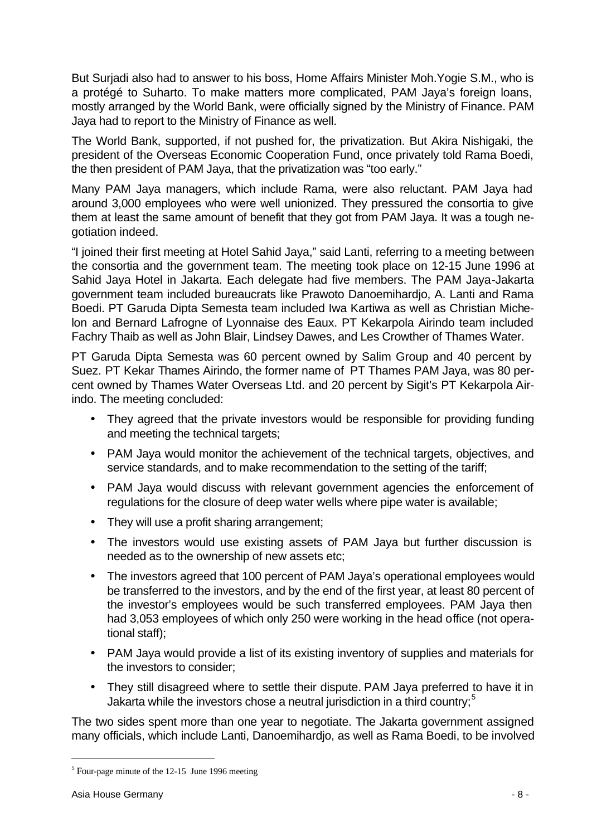But Surjadi also had to answer to his boss, Home Affairs Minister Moh.Yogie S.M., who is a protégé to Suharto. To make matters more complicated, PAM Jaya's foreign loans, mostly arranged by the World Bank, were officially signed by the Ministry of Finance. PAM Jaya had to report to the Ministry of Finance as well.

The World Bank, supported, if not pushed for, the privatization. But Akira Nishigaki, the president of the Overseas Economic Cooperation Fund, once privately told Rama Boedi, the then president of PAM Jaya, that the privatization was "too early."

Many PAM Jaya managers, which include Rama, were also reluctant. PAM Jaya had around 3,000 employees who were well unionized. They pressured the consortia to give them at least the same amount of benefit that they got from PAM Jaya. It was a tough negotiation indeed.

"I joined their first meeting at Hotel Sahid Jaya," said Lanti, referring to a meeting between the consortia and the government team. The meeting took place on 12-15 June 1996 at Sahid Jaya Hotel in Jakarta. Each delegate had five members. The PAM Jaya-Jakarta government team included bureaucrats like Prawoto Danoemihardjo, A. Lanti and Rama Boedi. PT Garuda Dipta Semesta team included Iwa Kartiwa as well as Christian Michelon and Bernard Lafrogne of Lyonnaise des Eaux. PT Kekarpola Airindo team included Fachry Thaib as well as John Blair, Lindsey Dawes, and Les Crowther of Thames Water.

PT Garuda Dipta Semesta was 60 percent owned by Salim Group and 40 percent by Suez. PT Kekar Thames Airindo, the former name of PT Thames PAM Jaya, was 80 percent owned by Thames Water Overseas Ltd. and 20 percent by Sigit's PT Kekarpola Airindo. The meeting concluded:

- They agreed that the private investors would be responsible for providing funding and meeting the technical targets;
- PAM Jaya would monitor the achievement of the technical targets, objectives, and service standards, and to make recommendation to the setting of the tariff;
- PAM Jaya would discuss with relevant government agencies the enforcement of regulations for the closure of deep water wells where pipe water is available;
- They will use a profit sharing arrangement;
- The investors would use existing assets of PAM Jaya but further discussion is needed as to the ownership of new assets etc;
- The investors agreed that 100 percent of PAM Jaya's operational employees would be transferred to the investors, and by the end of the first year, at least 80 percent of the investor's employees would be such transferred employees. PAM Jaya then had 3,053 employees of which only 250 were working in the head office (not operational staff);
- PAM Jaya would provide a list of its existing inventory of supplies and materials for the investors to consider;
- They still disagreed where to settle their dispute. PAM Jaya preferred to have it in Jakarta while the investors chose a neutral jurisdiction in a third country;<sup>5</sup>

The two sides spent more than one year to negotiate. The Jakarta government assigned many officials, which include Lanti, Danoemihardjo, as well as Rama Boedi, to be involved

 $<sup>5</sup>$  Four-page minute of the 12-15 June 1996 meeting</sup>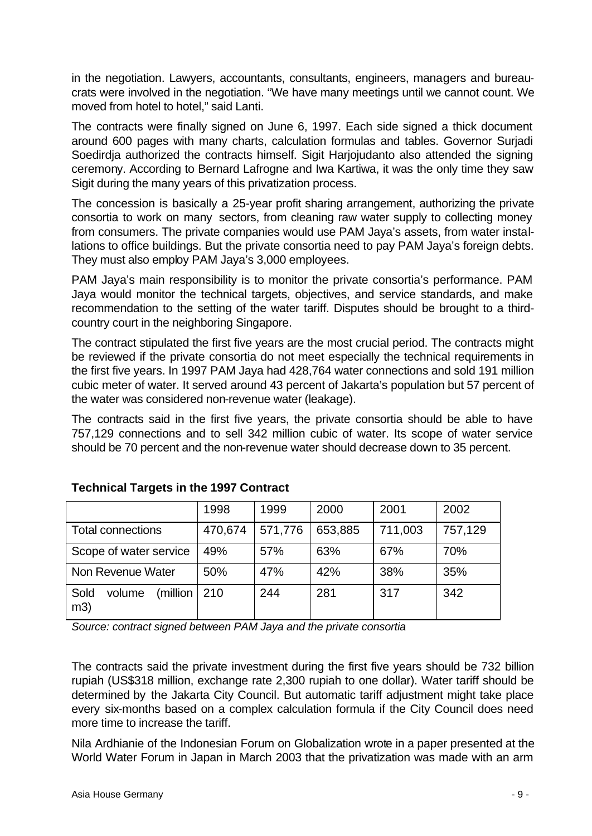in the negotiation. Lawyers, accountants, consultants, engineers, managers and bureaucrats were involved in the negotiation. "We have many meetings until we cannot count. We moved from hotel to hotel," said Lanti.

The contracts were finally signed on June 6, 1997. Each side signed a thick document around 600 pages with many charts, calculation formulas and tables. Governor Surjadi Soedirdja authorized the contracts himself. Sigit Harjojudanto also attended the signing ceremony. According to Bernard Lafrogne and Iwa Kartiwa, it was the only time they saw Sigit during the many years of this privatization process.

The concession is basically a 25-year profit sharing arrangement, authorizing the private consortia to work on many sectors, from cleaning raw water supply to collecting money from consumers. The private companies would use PAM Jaya's assets, from water installations to office buildings. But the private consortia need to pay PAM Jaya's foreign debts. They must also employ PAM Jaya's 3,000 employees.

PAM Jaya's main responsibility is to monitor the private consortia's performance. PAM Jaya would monitor the technical targets, objectives, and service standards, and make recommendation to the setting of the water tariff. Disputes should be brought to a thirdcountry court in the neighboring Singapore.

The contract stipulated the first five years are the most crucial period. The contracts might be reviewed if the private consortia do not meet especially the technical requirements in the first five years. In 1997 PAM Jaya had 428,764 water connections and sold 191 million cubic meter of water. It served around 43 percent of Jakarta's population but 57 percent of the water was considered non-revenue water (leakage).

The contracts said in the first five years, the private consortia should be able to have 757,129 connections and to sell 342 million cubic of water. Its scope of water service should be 70 percent and the non-revenue water should decrease down to 35 percent.

|                                   | 1998    | 1999    | 2000    | 2001    | 2002    |
|-----------------------------------|---------|---------|---------|---------|---------|
| <b>Total connections</b>          | 470,674 | 571,776 | 653,885 | 711,003 | 757,129 |
| Scope of water service            | 49%     | 57%     | 63%     | 67%     | 70%     |
| Non Revenue Water                 | 50%     | 47%     | 42%     | 38%     | 35%     |
| Sold<br>(million<br>volume<br>m3) | 210     | 244     | 281     | 317     | 342     |

### **Technical Targets in the 1997 Contract**

*Source: contract signed between PAM Jaya and the private consortia*

The contracts said the private investment during the first five years should be 732 billion rupiah (US\$318 million, exchange rate 2,300 rupiah to one dollar). Water tariff should be determined by the Jakarta City Council. But automatic tariff adjustment might take place every six-months based on a complex calculation formula if the City Council does need more time to increase the tariff.

Nila Ardhianie of the Indonesian Forum on Globalization wrote in a paper presented at the World Water Forum in Japan in March 2003 that the privatization was made with an arm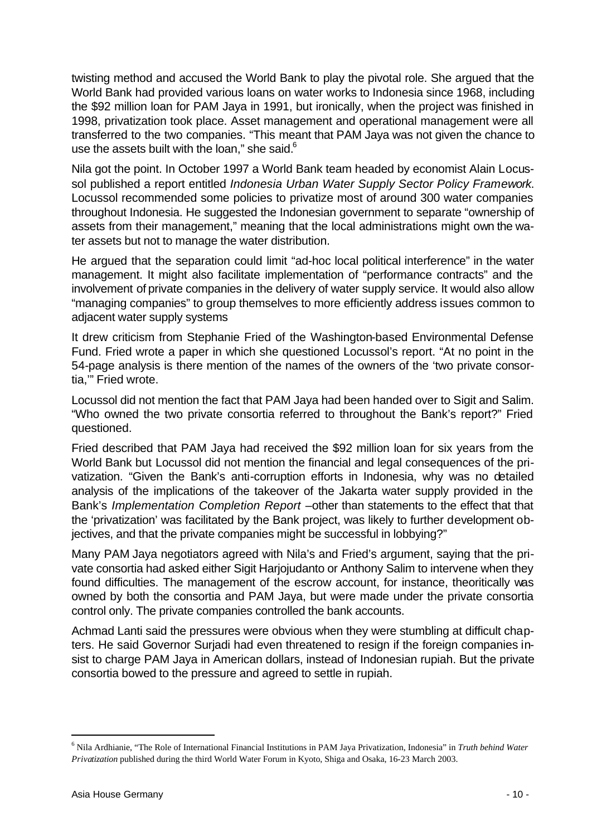twisting method and accused the World Bank to play the pivotal role. She argued that the World Bank had provided various loans on water works to Indonesia since 1968, including the \$92 million loan for PAM Jaya in 1991, but ironically, when the project was finished in 1998, privatization took place. Asset management and operational management were all transferred to the two companies. "This meant that PAM Jaya was not given the chance to use the assets built with the loan," she said. $6$ 

Nila got the point. In October 1997 a World Bank team headed by economist Alain Locussol published a report entitled *Indonesia Urban Water Supply Sector Policy Framework*. Locussol recommended some policies to privatize most of around 300 water companies throughout Indonesia. He suggested the Indonesian government to separate "ownership of assets from their management," meaning that the local administrations might own the water assets but not to manage the water distribution.

He argued that the separation could limit "ad-hoc local political interference" in the water management. It might also facilitate implementation of "performance contracts" and the involvement of private companies in the delivery of water supply service. It would also allow "managing companies" to group themselves to more efficiently address issues common to adjacent water supply systems

It drew criticism from Stephanie Fried of the Washington-based Environmental Defense Fund. Fried wrote a paper in which she questioned Locussol's report. "At no point in the 54-page analysis is there mention of the names of the owners of the 'two private consortia,'" Fried wrote.

Locussol did not mention the fact that PAM Jaya had been handed over to Sigit and Salim. "Who owned the two private consortia referred to throughout the Bank's report?" Fried questioned.

Fried described that PAM Jaya had received the \$92 million loan for six years from the World Bank but Locussol did not mention the financial and legal consequences of the privatization. "Given the Bank's anti-corruption efforts in Indonesia, why was no detailed analysis of the implications of the takeover of the Jakarta water supply provided in the Bank's *Implementation Completion Report* –other than statements to the effect that that the 'privatization' was facilitated by the Bank project, was likely to further development objectives, and that the private companies might be successful in lobbying?"

Many PAM Jaya negotiators agreed with Nila's and Fried's argument, saying that the private consortia had asked either Sigit Harjojudanto or Anthony Salim to intervene when they found difficulties. The management of the escrow account, for instance, theoritically was owned by both the consortia and PAM Jaya, but were made under the private consortia control only. The private companies controlled the bank accounts.

Achmad Lanti said the pressures were obvious when they were stumbling at difficult chapters. He said Governor Surjadi had even threatened to resign if the foreign companies insist to charge PAM Jaya in American dollars, instead of Indonesian rupiah. But the private consortia bowed to the pressure and agreed to settle in rupiah.

<sup>6</sup> Nila Ardhianie, "The Role of International Financial Institutions in PAM Jaya Privatization, Indonesia" in *Truth behind Water Privatization* published during the third World Water Forum in Kyoto, Shiga and Osaka, 16-23 March 2003.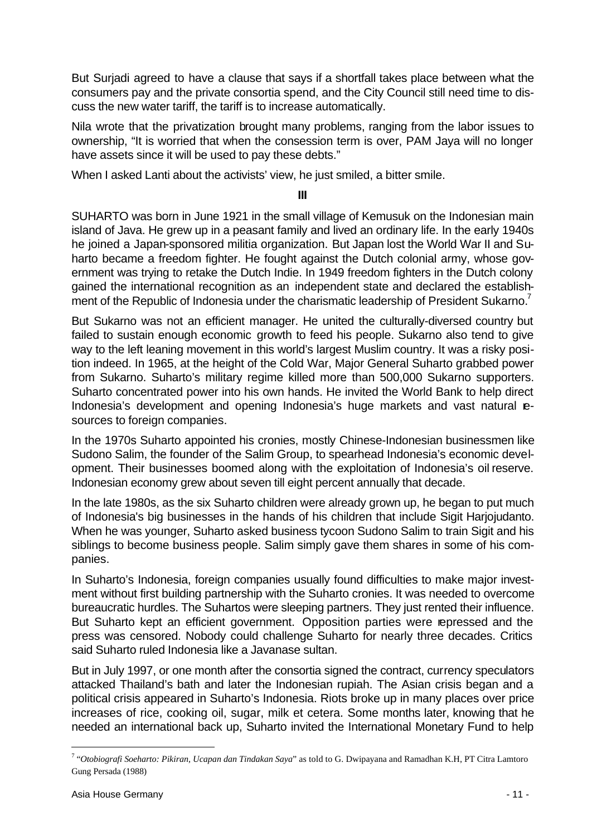But Surjadi agreed to have a clause that says if a shortfall takes place between what the consumers pay and the private consortia spend, and the City Council still need time to discuss the new water tariff, the tariff is to increase automatically.

Nila wrote that the privatization brought many problems, ranging from the labor issues to ownership, "It is worried that when the consession term is over, PAM Jaya will no longer have assets since it will be used to pay these debts."

When I asked Lanti about the activists' view, he just smiled, a bitter smile.

**III**

SUHARTO was born in June 1921 in the small village of Kemusuk on the Indonesian main island of Java. He grew up in a peasant family and lived an ordinary life. In the early 1940s he joined a Japan-sponsored militia organization. But Japan lost the World War II and Suharto became a freedom fighter. He fought against the Dutch colonial army, whose government was trying to retake the Dutch Indie. In 1949 freedom fighters in the Dutch colony gained the international recognition as an independent state and declared the establishment of the Republic of Indonesia under the charismatic leadership of President Sukarno.<sup>7</sup>

But Sukarno was not an efficient manager. He united the culturally-diversed country but failed to sustain enough economic growth to feed his people. Sukarno also tend to give way to the left leaning movement in this world's largest Muslim country. It was a risky position indeed. In 1965, at the height of the Cold War, Major General Suharto grabbed power from Sukarno. Suharto's military regime killed more than 500,000 Sukarno supporters. Suharto concentrated power into his own hands. He invited the World Bank to help direct Indonesia's development and opening Indonesia's huge markets and vast natural esources to foreign companies.

In the 1970s Suharto appointed his cronies, mostly Chinese-Indonesian businessmen like Sudono Salim, the founder of the Salim Group, to spearhead Indonesia's economic development. Their businesses boomed along with the exploitation of Indonesia's oil reserve. Indonesian economy grew about seven till eight percent annually that decade.

In the late 1980s, as the six Suharto children were already grown up, he began to put much of Indonesia's big businesses in the hands of his children that include Sigit Harjojudanto. When he was younger, Suharto asked business tycoon Sudono Salim to train Sigit and his siblings to become business people. Salim simply gave them shares in some of his companies.

In Suharto's Indonesia, foreign companies usually found difficulties to make major investment without first building partnership with the Suharto cronies. It was needed to overcome bureaucratic hurdles. The Suhartos were sleeping partners. They just rented their influence. But Suharto kept an efficient government. Opposition parties were repressed and the press was censored. Nobody could challenge Suharto for nearly three decades. Critics said Suharto ruled Indonesia like a Javanase sultan.

But in July 1997, or one month after the consortia signed the contract, currency speculators attacked Thailand's bath and later the Indonesian rupiah. The Asian crisis began and a political crisis appeared in Suharto's Indonesia. Riots broke up in many places over price increases of rice, cooking oil, sugar, milk et cetera. Some months later, knowing that he needed an international back up, Suharto invited the International Monetary Fund to help

<sup>7</sup> "*Otobiografi Soeharto: Pikiran, Ucapan dan Tindakan Saya*" as told to G. Dwipayana and Ramadhan K.H, PT Citra Lamtoro Gung Persada (1988)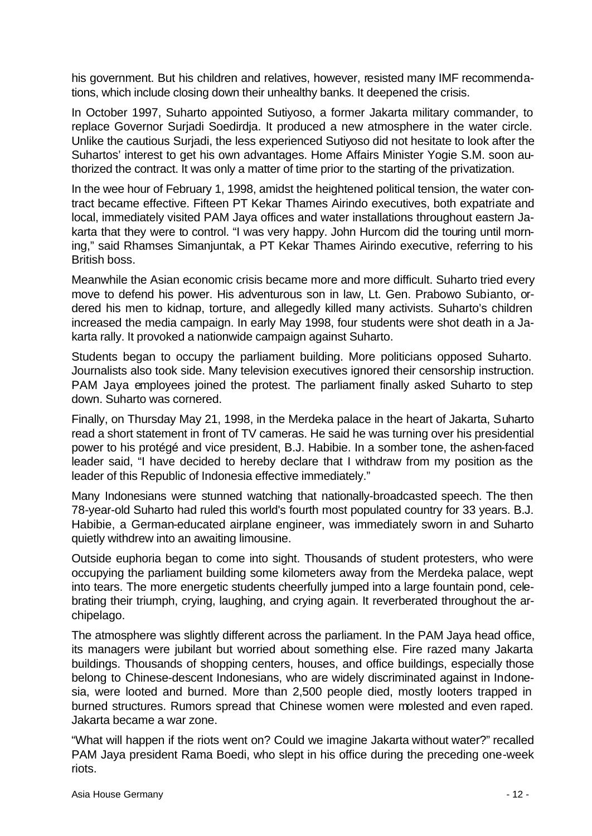his government. But his children and relatives, however, resisted many IMF recommendations, which include closing down their unhealthy banks. It deepened the crisis.

In October 1997, Suharto appointed Sutiyoso, a former Jakarta military commander, to replace Governor Surjadi Soedirdja. It produced a new atmosphere in the water circle. Unlike the cautious Surjadi, the less experienced Sutiyoso did not hesitate to look after the Suhartos' interest to get his own advantages. Home Affairs Minister Yogie S.M. soon authorized the contract. It was only a matter of time prior to the starting of the privatization.

In the wee hour of February 1, 1998, amidst the heightened political tension, the water contract became effective. Fifteen PT Kekar Thames Airindo executives, both expatriate and local, immediately visited PAM Jaya offices and water installations throughout eastern Jakarta that they were to control. "I was very happy. John Hurcom did the touring until morning," said Rhamses Simanjuntak, a PT Kekar Thames Airindo executive, referring to his British boss.

Meanwhile the Asian economic crisis became more and more difficult. Suharto tried every move to defend his power. His adventurous son in law, Lt. Gen. Prabowo Subianto, ordered his men to kidnap, torture, and allegedly killed many activists. Suharto's children increased the media campaign. In early May 1998, four students were shot death in a Jakarta rally. It provoked a nationwide campaign against Suharto.

Students began to occupy the parliament building. More politicians opposed Suharto. Journalists also took side. Many television executives ignored their censorship instruction. PAM Jaya employees joined the protest. The parliament finally asked Suharto to step down. Suharto was cornered.

Finally, on Thursday May 21, 1998, in the Merdeka palace in the heart of Jakarta, Suharto read a short statement in front of TV cameras. He said he was turning over his presidential power to his protégé and vice president, B.J. Habibie. In a somber tone, the ashen-faced leader said, "I have decided to hereby declare that I withdraw from my position as the leader of this Republic of Indonesia effective immediately."

Many Indonesians were stunned watching that nationally-broadcasted speech. The then 78-year-old Suharto had ruled this world's fourth most populated country for 33 years. B.J. Habibie, a German-educated airplane engineer, was immediately sworn in and Suharto quietly withdrew into an awaiting limousine.

Outside euphoria began to come into sight. Thousands of student protesters, who were occupying the parliament building some kilometers away from the Merdeka palace, wept into tears. The more energetic students cheerfully jumped into a large fountain pond, celebrating their triumph, crying, laughing, and crying again. It reverberated throughout the archipelago.

The atmosphere was slightly different across the parliament. In the PAM Jaya head office, its managers were jubilant but worried about something else. Fire razed many Jakarta buildings. Thousands of shopping centers, houses, and office buildings, especially those belong to Chinese-descent Indonesians, who are widely discriminated against in Indonesia, were looted and burned. More than 2,500 people died, mostly looters trapped in burned structures. Rumors spread that Chinese women were molested and even raped. Jakarta became a war zone.

"What will happen if the riots went on? Could we imagine Jakarta without water?" recalled PAM Jaya president Rama Boedi, who slept in his office during the preceding one-week riots.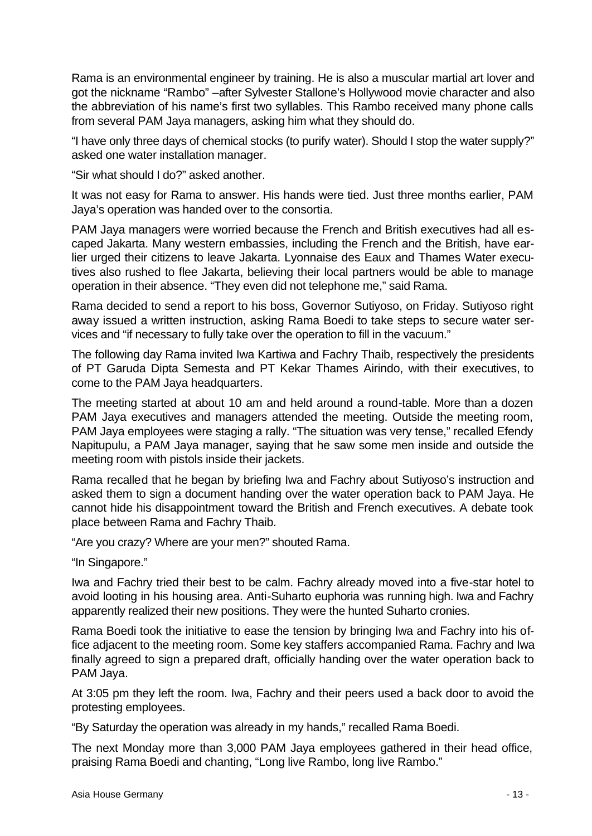Rama is an environmental engineer by training. He is also a muscular martial art lover and got the nickname "Rambo" –after Sylvester Stallone's Hollywood movie character and also the abbreviation of his name's first two syllables. This Rambo received many phone calls from several PAM Jaya managers, asking him what they should do.

"I have only three days of chemical stocks (to purify water). Should I stop the water supply?" asked one water installation manager.

"Sir what should I do?" asked another.

It was not easy for Rama to answer. His hands were tied. Just three months earlier, PAM Jaya's operation was handed over to the consortia.

PAM Jaya managers were worried because the French and British executives had all escaped Jakarta. Many western embassies, including the French and the British, have earlier urged their citizens to leave Jakarta. Lyonnaise des Eaux and Thames Water executives also rushed to flee Jakarta, believing their local partners would be able to manage operation in their absence. "They even did not telephone me," said Rama.

Rama decided to send a report to his boss, Governor Sutiyoso, on Friday. Sutiyoso right away issued a written instruction, asking Rama Boedi to take steps to secure water services and "if necessary to fully take over the operation to fill in the vacuum."

The following day Rama invited Iwa Kartiwa and Fachry Thaib, respectively the presidents of PT Garuda Dipta Semesta and PT Kekar Thames Airindo, with their executives, to come to the PAM Jaya headquarters.

The meeting started at about 10 am and held around a round-table. More than a dozen PAM Jaya executives and managers attended the meeting. Outside the meeting room, PAM Jaya employees were staging a rally. "The situation was very tense," recalled Efendy Napitupulu, a PAM Jaya manager, saying that he saw some men inside and outside the meeting room with pistols inside their jackets.

Rama recalled that he began by briefing Iwa and Fachry about Sutiyoso's instruction and asked them to sign a document handing over the water operation back to PAM Jaya. He cannot hide his disappointment toward the British and French executives. A debate took place between Rama and Fachry Thaib.

"Are you crazy? Where are your men?" shouted Rama.

"In Singapore."

Iwa and Fachry tried their best to be calm. Fachry already moved into a five-star hotel to avoid looting in his housing area. Anti-Suharto euphoria was running high. Iwa and Fachry apparently realized their new positions. They were the hunted Suharto cronies.

Rama Boedi took the initiative to ease the tension by bringing Iwa and Fachry into his office adjacent to the meeting room. Some key staffers accompanied Rama. Fachry and Iwa finally agreed to sign a prepared draft, officially handing over the water operation back to PAM Jaya.

At 3:05 pm they left the room. Iwa, Fachry and their peers used a back door to avoid the protesting employees.

"By Saturday the operation was already in my hands," recalled Rama Boedi.

The next Monday more than 3,000 PAM Jaya employees gathered in their head office, praising Rama Boedi and chanting, "Long live Rambo, long live Rambo."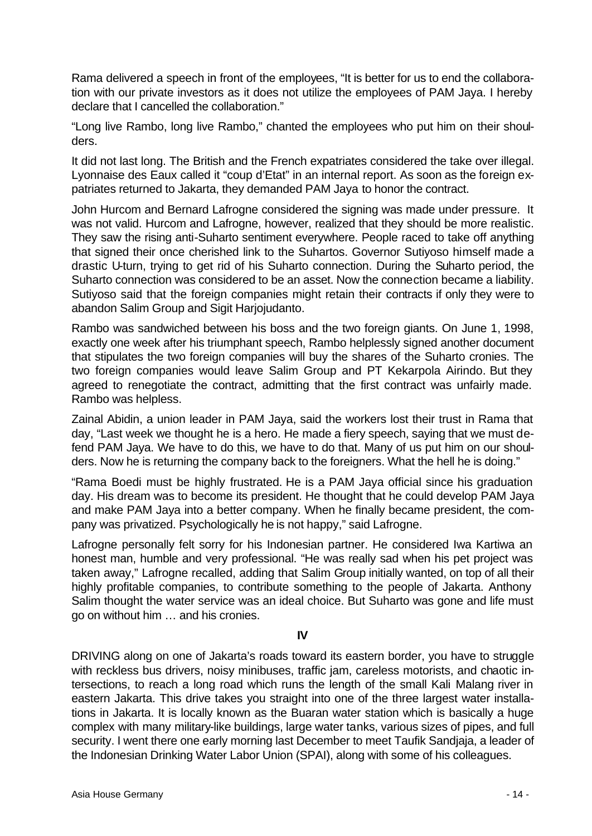Rama delivered a speech in front of the employees, "It is better for us to end the collaboration with our private investors as it does not utilize the employees of PAM Jaya. I hereby declare that I cancelled the collaboration."

"Long live Rambo, long live Rambo," chanted the employees who put him on their shoulders.

It did not last long. The British and the French expatriates considered the take over illegal. Lyonnaise des Eaux called it "coup d'Etat" in an internal report. As soon as the foreign expatriates returned to Jakarta, they demanded PAM Jaya to honor the contract.

John Hurcom and Bernard Lafrogne considered the signing was made under pressure. It was not valid. Hurcom and Lafrogne, however, realized that they should be more realistic. They saw the rising anti-Suharto sentiment everywhere. People raced to take off anything that signed their once cherished link to the Suhartos. Governor Sutiyoso himself made a drastic U-turn, trying to get rid of his Suharto connection. During the Suharto period, the Suharto connection was considered to be an asset. Now the connection became a liability. Sutiyoso said that the foreign companies might retain their contracts if only they were to abandon Salim Group and Sigit Harjojudanto.

Rambo was sandwiched between his boss and the two foreign giants. On June 1, 1998, exactly one week after his triumphant speech, Rambo helplessly signed another document that stipulates the two foreign companies will buy the shares of the Suharto cronies. The two foreign companies would leave Salim Group and PT Kekarpola Airindo. But they agreed to renegotiate the contract, admitting that the first contract was unfairly made. Rambo was helpless.

Zainal Abidin, a union leader in PAM Jaya, said the workers lost their trust in Rama that day, "Last week we thought he is a hero. He made a fiery speech, saying that we must defend PAM Jaya. We have to do this, we have to do that. Many of us put him on our shoulders. Now he is returning the company back to the foreigners. What the hell he is doing."

"Rama Boedi must be highly frustrated. He is a PAM Jaya official since his graduation day. His dream was to become its president. He thought that he could develop PAM Jaya and make PAM Jaya into a better company. When he finally became president, the company was privatized. Psychologically he is not happy," said Lafrogne.

Lafrogne personally felt sorry for his Indonesian partner. He considered Iwa Kartiwa an honest man, humble and very professional. "He was really sad when his pet project was taken away," Lafrogne recalled, adding that Salim Group initially wanted, on top of all their highly profitable companies, to contribute something to the people of Jakarta. Anthony Salim thought the water service was an ideal choice. But Suharto was gone and life must go on without him … and his cronies.

#### **IV**

DRIVING along on one of Jakarta's roads toward its eastern border, you have to struggle with reckless bus drivers, noisy minibuses, traffic jam, careless motorists, and chaotic intersections, to reach a long road which runs the length of the small Kali Malang river in eastern Jakarta. This drive takes you straight into one of the three largest water installations in Jakarta. It is locally known as the Buaran water station which is basically a huge complex with many military-like buildings, large water tanks, various sizes of pipes, and full security. I went there one early morning last December to meet Taufik Sandjaja, a leader of the Indonesian Drinking Water Labor Union (SPAI), along with some of his colleagues.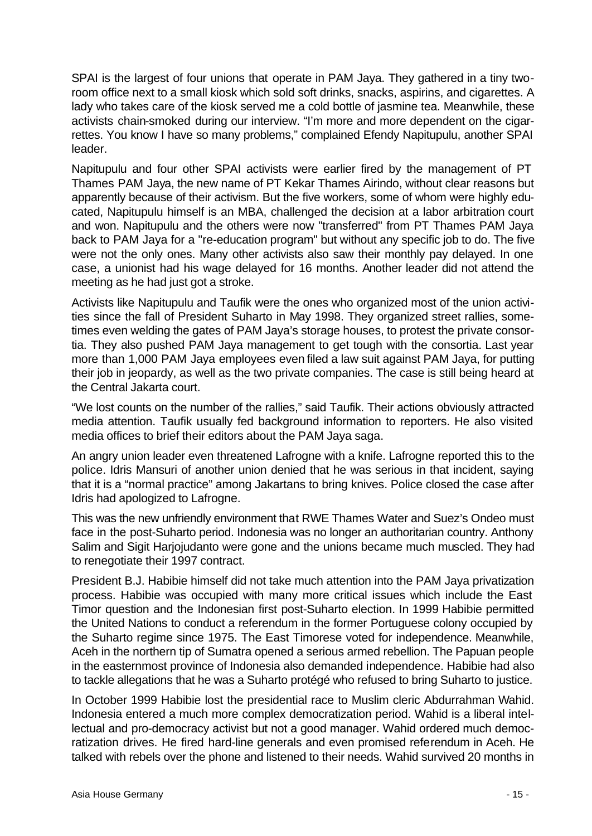SPAI is the largest of four unions that operate in PAM Jaya. They gathered in a tiny tworoom office next to a small kiosk which sold soft drinks, snacks, aspirins, and cigarettes. A lady who takes care of the kiosk served me a cold bottle of jasmine tea. Meanwhile, these activists chain-smoked during our interview. "I'm more and more dependent on the cigarrettes. You know I have so many problems," complained Efendy Napitupulu, another SPAI leader.

Napitupulu and four other SPAI activists were earlier fired by the management of PT Thames PAM Jaya, the new name of PT Kekar Thames Airindo, without clear reasons but apparently because of their activism. But the five workers, some of whom were highly educated, Napitupulu himself is an MBA, challenged the decision at a labor arbitration court and won. Napitupulu and the others were now "transferred" from PT Thames PAM Jaya back to PAM Jaya for a "re-education program" but without any specific job to do. The five were not the only ones. Many other activists also saw their monthly pay delayed. In one case, a unionist had his wage delayed for 16 months. Another leader did not attend the meeting as he had just got a stroke.

Activists like Napitupulu and Taufik were the ones who organized most of the union activities since the fall of President Suharto in May 1998. They organized street rallies, sometimes even welding the gates of PAM Jaya's storage houses, to protest the private consortia. They also pushed PAM Jaya management to get tough with the consortia. Last year more than 1,000 PAM Jaya employees even filed a law suit against PAM Jaya, for putting their job in jeopardy, as well as the two private companies. The case is still being heard at the Central Jakarta court.

"We lost counts on the number of the rallies," said Taufik. Their actions obviously attracted media attention. Taufik usually fed background information to reporters. He also visited media offices to brief their editors about the PAM Jaya saga.

An angry union leader even threatened Lafrogne with a knife. Lafrogne reported this to the police. Idris Mansuri of another union denied that he was serious in that incident, saying that it is a "normal practice" among Jakartans to bring knives. Police closed the case after Idris had apologized to Lafrogne.

This was the new unfriendly environment that RWE Thames Water and Suez's Ondeo must face in the post-Suharto period. Indonesia was no longer an authoritarian country. Anthony Salim and Sigit Harjojudanto were gone and the unions became much muscled. They had to renegotiate their 1997 contract.

President B.J. Habibie himself did not take much attention into the PAM Jaya privatization process. Habibie was occupied with many more critical issues which include the East Timor question and the Indonesian first post-Suharto election. In 1999 Habibie permitted the United Nations to conduct a referendum in the former Portuguese colony occupied by the Suharto regime since 1975. The East Timorese voted for independence. Meanwhile, Aceh in the northern tip of Sumatra opened a serious armed rebellion. The Papuan people in the easternmost province of Indonesia also demanded independence. Habibie had also to tackle allegations that he was a Suharto protégé who refused to bring Suharto to justice.

In October 1999 Habibie lost the presidential race to Muslim cleric Abdurrahman Wahid. Indonesia entered a much more complex democratization period. Wahid is a liberal intellectual and pro-democracy activist but not a good manager. Wahid ordered much democratization drives. He fired hard-line generals and even promised referendum in Aceh. He talked with rebels over the phone and listened to their needs. Wahid survived 20 months in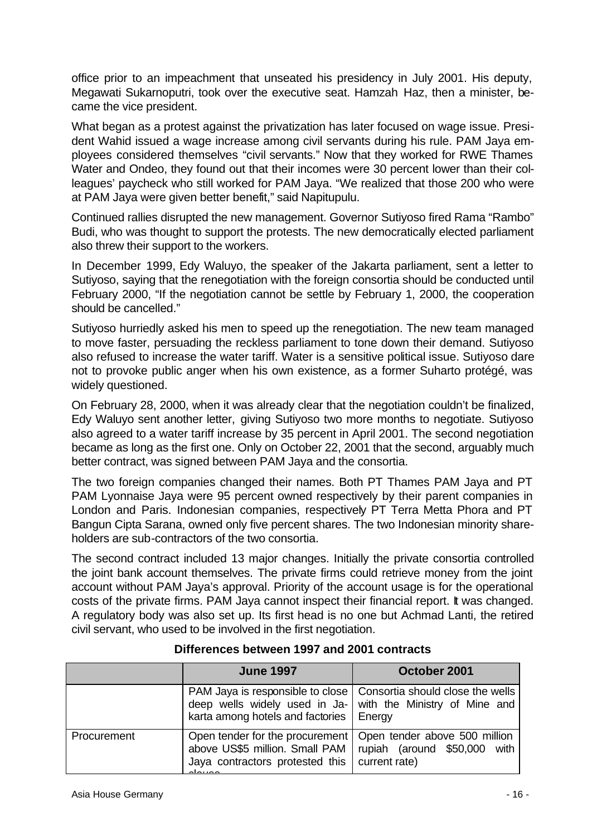office prior to an impeachment that unseated his presidency in July 2001. His deputy, Megawati Sukarnoputri, took over the executive seat. Hamzah Haz, then a minister, became the vice president.

What began as a protest against the privatization has later focused on wage issue. President Wahid issued a wage increase among civil servants during his rule. PAM Jaya employees considered themselves "civil servants." Now that they worked for RWE Thames Water and Ondeo, they found out that their incomes were 30 percent lower than their colleagues' paycheck who still worked for PAM Jaya. "We realized that those 200 who were at PAM Jaya were given better benefit," said Napitupulu.

Continued rallies disrupted the new management. Governor Sutiyoso fired Rama "Rambo" Budi, who was thought to support the protests. The new democratically elected parliament also threw their support to the workers.

In December 1999, Edy Waluyo, the speaker of the Jakarta parliament, sent a letter to Sutiyoso, saying that the renegotiation with the foreign consortia should be conducted until February 2000, "If the negotiation cannot be settle by February 1, 2000, the cooperation should be cancelled."

Sutiyoso hurriedly asked his men to speed up the renegotiation. The new team managed to move faster, persuading the reckless parliament to tone down their demand. Sutiyoso also refused to increase the water tariff. Water is a sensitive political issue. Sutiyoso dare not to provoke public anger when his own existence, as a former Suharto protégé, was widely questioned.

On February 28, 2000, when it was already clear that the negotiation couldn't be finalized, Edy Waluyo sent another letter, giving Sutiyoso two more months to negotiate. Sutiyoso also agreed to a water tariff increase by 35 percent in April 2001. The second negotiation became as long as the first one. Only on October 22, 2001 that the second, arguably much better contract, was signed between PAM Jaya and the consortia.

The two foreign companies changed their names. Both PT Thames PAM Jaya and PT PAM Lyonnaise Jaya were 95 percent owned respectively by their parent companies in London and Paris. Indonesian companies, respectively PT Terra Metta Phora and PT Bangun Cipta Sarana, owned only five percent shares. The two Indonesian minority shareholders are sub-contractors of the two consortia.

The second contract included 13 major changes. Initially the private consortia controlled the joint bank account themselves. The private firms could retrieve money from the joint account without PAM Jaya's approval. Priority of the account usage is for the operational costs of the private firms. PAM Jaya cannot inspect their financial report. It was changed. A regulatory body was also set up. Its first head is no one but Achmad Lanti, the retired civil servant, who used to be involved in the first negotiation.

|             | <b>June 1997</b>                                                                                                                                                                | October 2001                                                                   |  |
|-------------|---------------------------------------------------------------------------------------------------------------------------------------------------------------------------------|--------------------------------------------------------------------------------|--|
|             | PAM Jaya is responsible to close   Consortia should close the wells<br>deep wells widely used in Ja- with the Ministry of Mine and<br>karta among hotels and factories   Energy |                                                                                |  |
| Procurement | Open tender for the procurement  <br>above US\$5 million. Small PAM<br>Jaya contractors protested this<br>د د د د داد                                                           | Open tender above 500 million<br>rupiah (around \$50,000 with<br>current rate) |  |

#### **Differences between 1997 and 2001 contracts**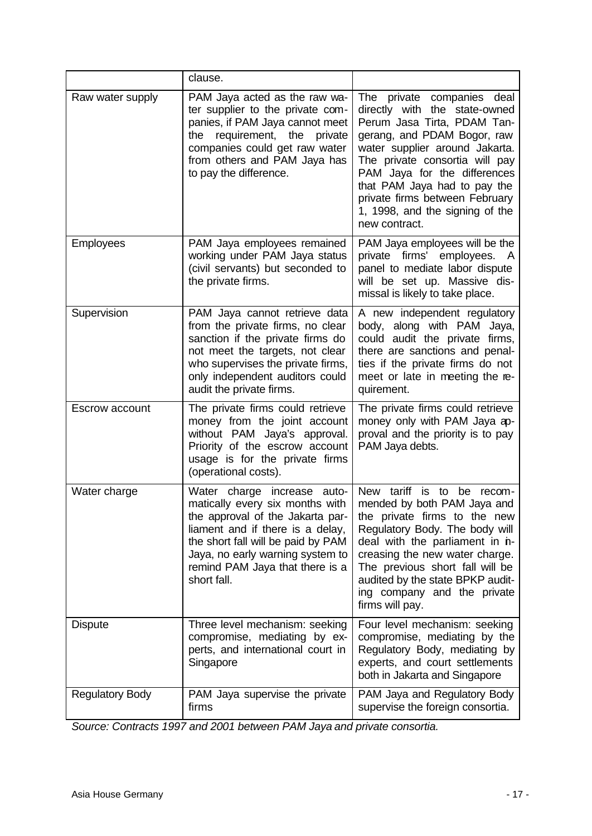|                        | clause.                                                                                                                                                                                                                                                            |                                                                                                                                                                                                                                                                                                                                                        |
|------------------------|--------------------------------------------------------------------------------------------------------------------------------------------------------------------------------------------------------------------------------------------------------------------|--------------------------------------------------------------------------------------------------------------------------------------------------------------------------------------------------------------------------------------------------------------------------------------------------------------------------------------------------------|
| Raw water supply       | PAM Jaya acted as the raw wa-<br>ter supplier to the private com-<br>panies, if PAM Jaya cannot meet<br>the<br>requirement, the private<br>companies could get raw water<br>from others and PAM Jaya has<br>to pay the difference.                                 | private companies deal<br>The<br>directly with the state-owned<br>Perum Jasa Tirta, PDAM Tan-<br>gerang, and PDAM Bogor, raw<br>water supplier around Jakarta.<br>The private consortia will pay<br>PAM Jaya for the differences<br>that PAM Jaya had to pay the<br>private firms between February<br>1, 1998, and the signing of the<br>new contract. |
| Employees              | PAM Jaya employees remained<br>working under PAM Jaya status<br>(civil servants) but seconded to<br>the private firms.                                                                                                                                             | PAM Jaya employees will be the<br>private firms' employees. A<br>panel to mediate labor dispute<br>will be set up. Massive dis-<br>missal is likely to take place.                                                                                                                                                                                     |
| Supervision            | PAM Jaya cannot retrieve data<br>from the private firms, no clear<br>sanction if the private firms do<br>not meet the targets, not clear<br>who supervises the private firms,<br>only independent auditors could<br>audit the private firms.                       | A new independent regulatory<br>body, along with PAM Jaya,<br>could audit the private firms,<br>there are sanctions and penal-<br>ties if the private firms do not<br>meet or late in meeting the re-<br>quirement.                                                                                                                                    |
| Escrow account         | The private firms could retrieve<br>money from the joint account<br>without PAM Jaya's approval.<br>Priority of the escrow account<br>usage is for the private firms<br>(operational costs).                                                                       | The private firms could retrieve<br>money only with PAM Jaya ap-<br>proval and the priority is to pay<br>PAM Jaya debts.                                                                                                                                                                                                                               |
| Water charge           | Water charge increase auto-<br>matically every six months with<br>the approval of the Jakarta par-<br>liament and if there is a delay,<br>the short fall will be paid by PAM<br>Jaya, no early warning system to<br>remind PAM Jaya that there is a<br>short fall. | New tariff is to be recom-<br>mended by both PAM Jaya and<br>the private firms to the new<br>Regulatory Body. The body will<br>deal with the parliament in n-<br>creasing the new water charge.<br>The previous short fall will be<br>audited by the state BPKP audit-<br>ing company and the private<br>firms will pay.                               |
| <b>Dispute</b>         | Three level mechanism: seeking<br>compromise, mediating by ex-<br>perts, and international court in<br>Singapore                                                                                                                                                   | Four level mechanism: seeking<br>compromise, mediating by the<br>Regulatory Body, mediating by<br>experts, and court settlements<br>both in Jakarta and Singapore                                                                                                                                                                                      |
| <b>Regulatory Body</b> | PAM Jaya supervise the private<br>firms                                                                                                                                                                                                                            | PAM Jaya and Regulatory Body<br>supervise the foreign consortia.                                                                                                                                                                                                                                                                                       |

*Source: Contracts 1997 and 2001 between PAM Jaya and private consortia.*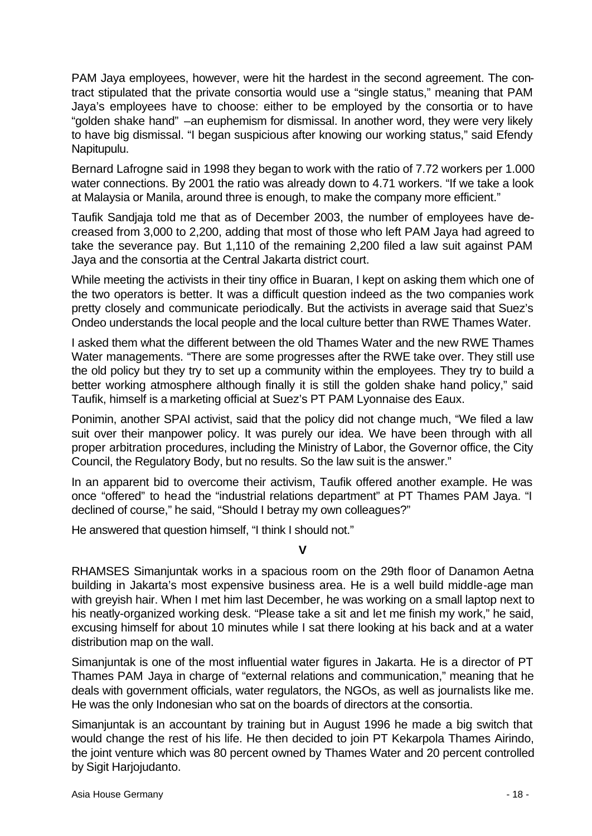PAM Jaya employees, however, were hit the hardest in the second agreement. The contract stipulated that the private consortia would use a "single status," meaning that PAM Jaya's employees have to choose: either to be employed by the consortia or to have "golden shake hand" –an euphemism for dismissal. In another word, they were very likely to have big dismissal. "I began suspicious after knowing our working status," said Efendy Napitupulu.

Bernard Lafrogne said in 1998 they began to work with the ratio of 7.72 workers per 1.000 water connections. By 2001 the ratio was already down to 4.71 workers. "If we take a look at Malaysia or Manila, around three is enough, to make the company more efficient."

Taufik Sandjaja told me that as of December 2003, the number of employees have decreased from 3,000 to 2,200, adding that most of those who left PAM Jaya had agreed to take the severance pay. But 1,110 of the remaining 2,200 filed a law suit against PAM Jaya and the consortia at the Central Jakarta district court.

While meeting the activists in their tiny office in Buaran, I kept on asking them which one of the two operators is better. It was a difficult question indeed as the two companies work pretty closely and communicate periodically. But the activists in average said that Suez's Ondeo understands the local people and the local culture better than RWE Thames Water.

I asked them what the different between the old Thames Water and the new RWE Thames Water managements. "There are some progresses after the RWE take over. They still use the old policy but they try to set up a community within the employees. They try to build a better working atmosphere although finally it is still the golden shake hand policy," said Taufik, himself is a marketing official at Suez's PT PAM Lyonnaise des Eaux.

Ponimin, another SPAI activist, said that the policy did not change much, "We filed a law suit over their manpower policy. It was purely our idea. We have been through with all proper arbitration procedures, including the Ministry of Labor, the Governor office, the City Council, the Regulatory Body, but no results. So the law suit is the answer."

In an apparent bid to overcome their activism, Taufik offered another example. He was once "offered" to head the "industrial relations department" at PT Thames PAM Jaya. "I declined of course," he said, "Should I betray my own colleagues?"

He answered that question himself, "I think I should not."

**V**

RHAMSES Simanjuntak works in a spacious room on the 29th floor of Danamon Aetna building in Jakarta's most expensive business area. He is a well build middle-age man with greyish hair. When I met him last December, he was working on a small laptop next to his neatly-organized working desk. "Please take a sit and let me finish my work," he said, excusing himself for about 10 minutes while I sat there looking at his back and at a water distribution map on the wall.

Simanjuntak is one of the most influential water figures in Jakarta. He is a director of PT Thames PAM Jaya in charge of "external relations and communication," meaning that he deals with government officials, water regulators, the NGOs, as well as journalists like me. He was the only Indonesian who sat on the boards of directors at the consortia.

Simanjuntak is an accountant by training but in August 1996 he made a big switch that would change the rest of his life. He then decided to join PT Kekarpola Thames Airindo, the joint venture which was 80 percent owned by Thames Water and 20 percent controlled by Sigit Harjojudanto.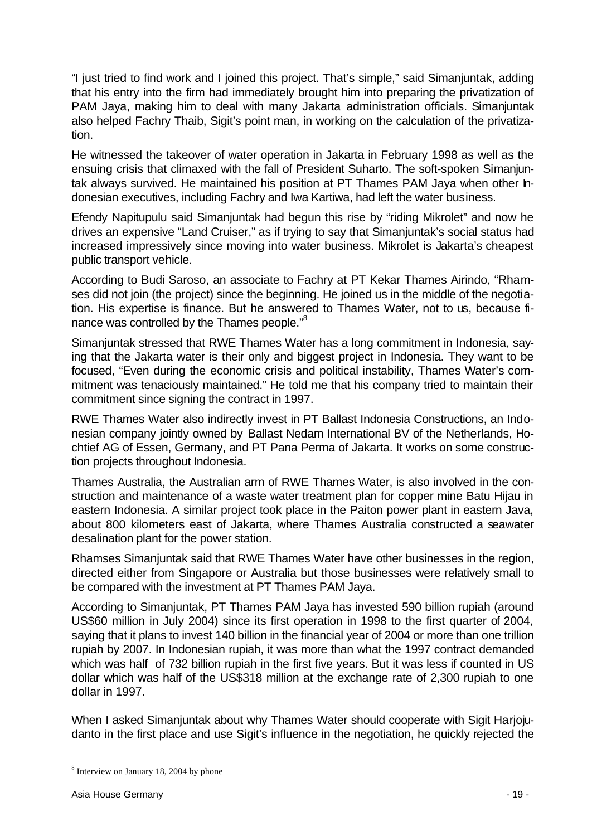"I just tried to find work and I joined this project. That's simple," said Simanjuntak, adding that his entry into the firm had immediately brought him into preparing the privatization of PAM Jaya, making him to deal with many Jakarta administration officials. Simanjuntak also helped Fachry Thaib, Sigit's point man, in working on the calculation of the privatization.

He witnessed the takeover of water operation in Jakarta in February 1998 as well as the ensuing crisis that climaxed with the fall of President Suharto. The soft-spoken Simanjuntak always survived. He maintained his position at PT Thames PAM Jaya when other Indonesian executives, including Fachry and Iwa Kartiwa, had left the water business.

Efendy Napitupulu said Simanjuntak had begun this rise by "riding Mikrolet" and now he drives an expensive "Land Cruiser," as if trying to say that Simanjuntak's social status had increased impressively since moving into water business. Mikrolet is Jakarta's cheapest public transport vehicle.

According to Budi Saroso, an associate to Fachry at PT Kekar Thames Airindo, "Rhamses did not join (the project) since the beginning. He joined us in the middle of the negotiation. His expertise is finance. But he answered to Thames Water, not to us, because finance was controlled by the Thames people."<sup>8</sup>

Simanjuntak stressed that RWE Thames Water has a long commitment in Indonesia, saying that the Jakarta water is their only and biggest project in Indonesia. They want to be focused, "Even during the economic crisis and political instability, Thames Water's commitment was tenaciously maintained." He told me that his company tried to maintain their commitment since signing the contract in 1997.

RWE Thames Water also indirectly invest in PT Ballast Indonesia Constructions, an Indonesian company jointly owned by Ballast Nedam International BV of the Netherlands, Hochtief AG of Essen, Germany, and PT Pana Perma of Jakarta. It works on some construction projects throughout Indonesia.

Thames Australia, the Australian arm of RWE Thames Water, is also involved in the construction and maintenance of a waste water treatment plan for copper mine Batu Hijau in eastern Indonesia. A similar project took place in the Paiton power plant in eastern Java, about 800 kilometers east of Jakarta, where Thames Australia constructed a seawater desalination plant for the power station.

Rhamses Simanjuntak said that RWE Thames Water have other businesses in the region, directed either from Singapore or Australia but those businesses were relatively small to be compared with the investment at PT Thames PAM Jaya.

According to Simanjuntak, PT Thames PAM Jaya has invested 590 billion rupiah (around US\$60 million in July 2004) since its first operation in 1998 to the first quarter of 2004, saying that it plans to invest 140 billion in the financial year of 2004 or more than one trillion rupiah by 2007. In Indonesian rupiah, it was more than what the 1997 contract demanded which was half of 732 billion rupiah in the first five years. But it was less if counted in US dollar which was half of the US\$318 million at the exchange rate of 2,300 rupiah to one dollar in 1997.

When I asked Simanjuntak about why Thames Water should cooperate with Sigit Harjojudanto in the first place and use Sigit's influence in the negotiation, he quickly rejected the

<sup>&</sup>lt;sup>8</sup> Interview on January 18, 2004 by phone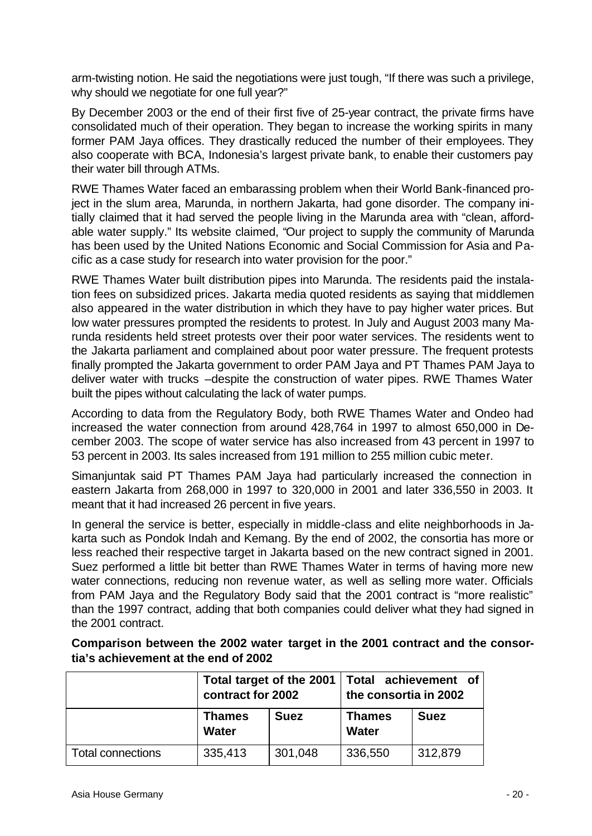arm-twisting notion. He said the negotiations were just tough, "If there was such a privilege, why should we negotiate for one full year?"

By December 2003 or the end of their first five of 25-year contract, the private firms have consolidated much of their operation. They began to increase the working spirits in many former PAM Jaya offices. They drastically reduced the number of their employees. They also cooperate with BCA, Indonesia's largest private bank, to enable their customers pay their water bill through ATMs.

RWE Thames Water faced an embarassing problem when their World Bank-financed project in the slum area, Marunda, in northern Jakarta, had gone disorder. The company initially claimed that it had served the people living in the Marunda area with "clean, affordable water supply." Its website claimed, "Our project to supply the community of Marunda has been used by the United Nations Economic and Social Commission for Asia and Pacific as a case study for research into water provision for the poor."

RWE Thames Water built distribution pipes into Marunda. The residents paid the instalation fees on subsidized prices. Jakarta media quoted residents as saying that middlemen also appeared in the water distribution in which they have to pay higher water prices. But low water pressures prompted the residents to protest. In July and August 2003 many Marunda residents held street protests over their poor water services. The residents went to the Jakarta parliament and complained about poor water pressure. The frequent protests finally prompted the Jakarta government to order PAM Jaya and PT Thames PAM Jaya to deliver water with trucks –despite the construction of water pipes. RWE Thames Water built the pipes without calculating the lack of water pumps.

According to data from the Regulatory Body, both RWE Thames Water and Ondeo had increased the water connection from around 428,764 in 1997 to almost 650,000 in December 2003. The scope of water service has also increased from 43 percent in 1997 to 53 percent in 2003. Its sales increased from 191 million to 255 million cubic meter.

Simanjuntak said PT Thames PAM Jaya had particularly increased the connection in eastern Jakarta from 268,000 in 1997 to 320,000 in 2001 and later 336,550 in 2003. It meant that it had increased 26 percent in five years.

In general the service is better, especially in middle-class and elite neighborhoods in Jakarta such as Pondok Indah and Kemang. By the end of 2002, the consortia has more or less reached their respective target in Jakarta based on the new contract signed in 2001. Suez performed a little bit better than RWE Thames Water in terms of having more new water connections, reducing non revenue water, as well as selling more water. Officials from PAM Jaya and the Regulatory Body said that the 2001 contract is "more realistic" than the 1997 contract, adding that both companies could deliver what they had signed in the 2001 contract.

|                          | Total target of the 2001<br>contract for 2002 |             | Total achievement of<br>the consortia in 2002 |             |
|--------------------------|-----------------------------------------------|-------------|-----------------------------------------------|-------------|
|                          | <b>Thames</b><br>Water                        | <b>Suez</b> | <b>Thames</b><br><b>Water</b>                 | <b>Suez</b> |
| <b>Total connections</b> | 335,413                                       | 301,048     | 336,550                                       | 312,879     |

**Comparison between the 2002 water target in the 2001 contract and the consortia's achievement at the end of 2002**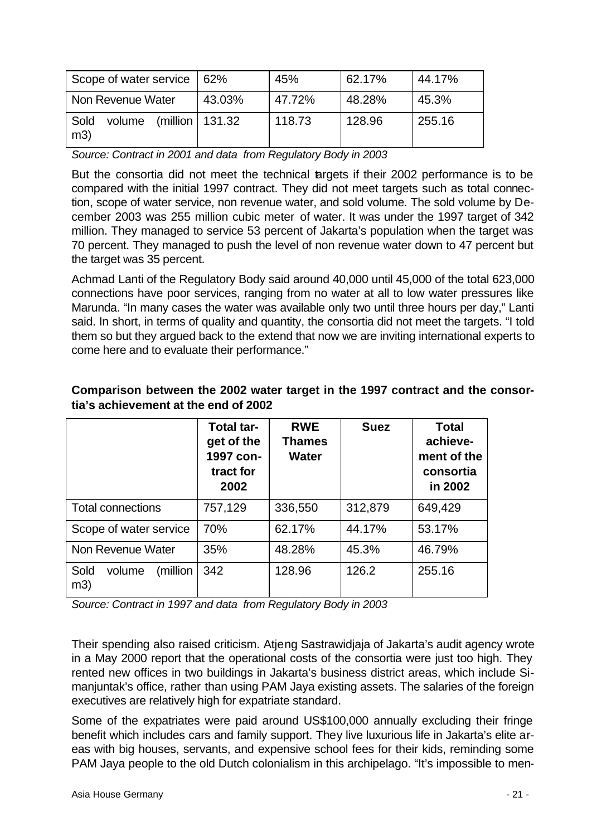| Scope of water service   62% |                         | 45%    | 62.17% | 44.17% |
|------------------------------|-------------------------|--------|--------|--------|
| Non Revenue Water            | 43.03%                  | 47.72% | 48.28% | 45.3%  |
| Sold<br>volume<br>m3)        | $(million \mid 131.32)$ | 118.73 | 128.96 | 255.16 |

*Source: Contract in 2001 and data from Regulatory Body in 2003*

But the consortia did not meet the technical targets if their 2002 performance is to be compared with the initial 1997 contract. They did not meet targets such as total connection, scope of water service, non revenue water, and sold volume. The sold volume by December 2003 was 255 million cubic meter of water. It was under the 1997 target of 342 million. They managed to service 53 percent of Jakarta's population when the target was 70 percent. They managed to push the level of non revenue water down to 47 percent but the target was 35 percent.

Achmad Lanti of the Regulatory Body said around 40,000 until 45,000 of the total 623,000 connections have poor services, ranging from no water at all to low water pressures like Marunda. "In many cases the water was available only two until three hours per day," Lanti said. In short, in terms of quality and quantity, the consortia did not meet the targets. "I told them so but they argued back to the extend that now we are inviting international experts to come here and to evaluate their performance."

|                                   | <b>Total tar-</b><br>get of the<br>1997 con-<br>tract for<br>2002 | <b>RWE</b><br>Thames<br><b>Water</b> | <b>Suez</b> | <b>Total</b><br>achieve-<br>ment of the<br>consortia<br>in 2002 |
|-----------------------------------|-------------------------------------------------------------------|--------------------------------------|-------------|-----------------------------------------------------------------|
| <b>Total connections</b>          | 757,129                                                           | 336,550                              | 312,879     | 649,429                                                         |
| Scope of water service            | 70%                                                               | 62.17%                               | 44.17%      | 53.17%                                                          |
| Non Revenue Water                 | 35%                                                               | 48.28%                               | 45.3%       | 46.79%                                                          |
| (million<br>Sold<br>volume<br>m3) | 342                                                               | 128.96                               | 126.2       | 255.16                                                          |

#### **Comparison between the 2002 water target in the 1997 contract and the consortia's achievement at the end of 2002**

*Source: Contract in 1997 and data from Regulatory Body in 2003*

Their spending also raised criticism. Atjeng Sastrawidjaja of Jakarta's audit agency wrote in a May 2000 report that the operational costs of the consortia were just too high. They rented new offices in two buildings in Jakarta's business district areas, which include Simanjuntak's office, rather than using PAM Jaya existing assets. The salaries of the foreign executives are relatively high for expatriate standard.

Some of the expatriates were paid around US\$100,000 annually excluding their fringe benefit which includes cars and family support. They live luxurious life in Jakarta's elite areas with big houses, servants, and expensive school fees for their kids, reminding some PAM Jaya people to the old Dutch colonialism in this archipelago. "It's impossible to men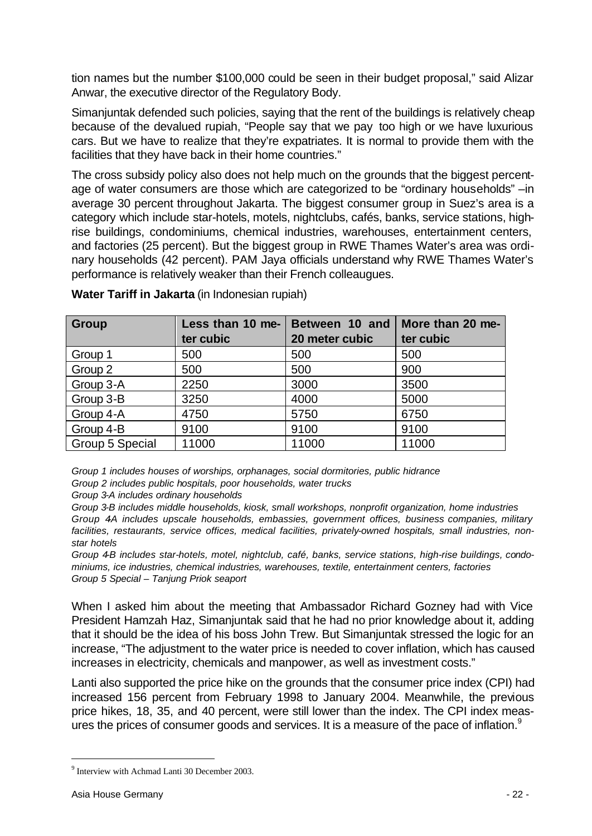tion names but the number \$100,000 could be seen in their budget proposal," said Alizar Anwar, the executive director of the Regulatory Body.

Simanjuntak defended such policies, saying that the rent of the buildings is relatively cheap because of the devalued rupiah, "People say that we pay too high or we have luxurious cars. But we have to realize that they're expatriates. It is normal to provide them with the facilities that they have back in their home countries."

The cross subsidy policy also does not help much on the grounds that the biggest percentage of water consumers are those which are categorized to be "ordinary households" –in average 30 percent throughout Jakarta. The biggest consumer group in Suez's area is a category which include star-hotels, motels, nightclubs, cafés, banks, service stations, highrise buildings, condominiums, chemical industries, warehouses, entertainment centers, and factories (25 percent). But the biggest group in RWE Thames Water's area was ordinary households (42 percent). PAM Jaya officials understand why RWE Thames Water's performance is relatively weaker than their French colleaugues.

| Group           | Less than 10 me- | Between 10 and | More than 20 me- |
|-----------------|------------------|----------------|------------------|
|                 | ter cubic        | 20 meter cubic | ter cubic        |
| Group 1         | 500              | 500            | 500              |
| Group 2         | 500              | 500            | 900              |
| Group 3-A       | 2250             | 3000           | 3500             |
| Group 3-B       | 3250             | 4000           | 5000             |
| Group 4-A       | 4750             | 5750           | 6750             |
| Group 4-B       | 9100             | 9100           | 9100             |
| Group 5 Special | 11000            | 11000          | 11000            |

**Water Tariff in Jakarta** (in Indonesian rupiah)

*Group 1 includes houses of worships, orphanages, social dormitories, public hidrance Group 2 includes public hospitals, poor households, water trucks*

*Group 3-A includes ordinary households*

*Group 3-B includes middle households, kiosk, small workshops, nonprofit organization, home industries* Group 4A includes upscale households, embassies, government offices, business companies, military *facilities, restaurants, service offices, medical facilities, privately-owned hospitals, small industries, nonstar hotels*

*Group 4-B includes star-hotels, motel, nightclub, café, banks, service stations, high-rise buildings, condominiums, ice industries, chemical industries, warehouses, textile, entertainment centers, factories Group 5 Special – Tanjung Priok seaport*

When I asked him about the meeting that Ambassador Richard Gozney had with Vice President Hamzah Haz, Simanjuntak said that he had no prior knowledge about it, adding that it should be the idea of his boss John Trew. But Simanjuntak stressed the logic for an increase, "The adjustment to the water price is needed to cover inflation, which has caused increases in electricity, chemicals and manpower, as well as investment costs."

Lanti also supported the price hike on the grounds that the consumer price index (CPI) had increased 156 percent from February 1998 to January 2004. Meanwhile, the previous price hikes, 18, 35, and 40 percent, were still lower than the index. The CPI index measures the prices of consumer goods and services. It is a measure of the pace of inflation.<sup>9</sup>

<sup>&</sup>lt;sup>9</sup> Interview with Achmad Lanti 30 December 2003.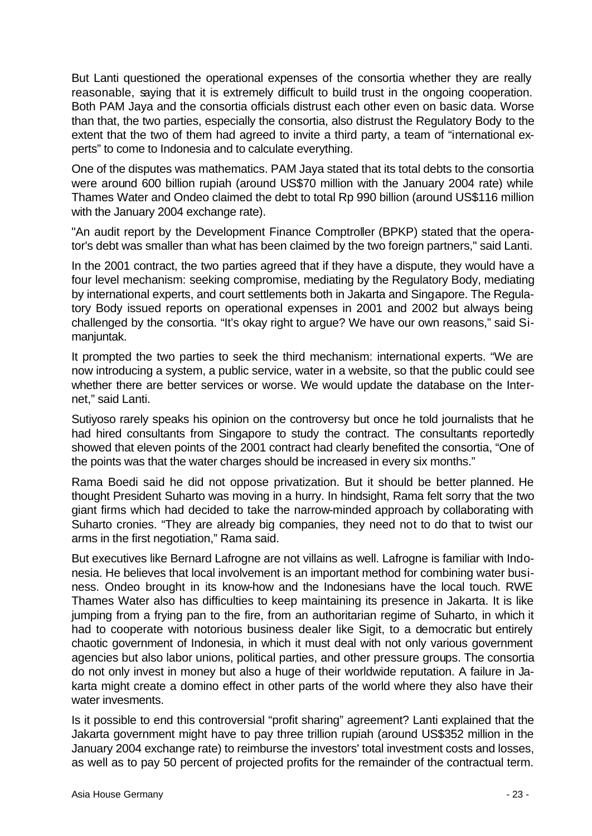But Lanti questioned the operational expenses of the consortia whether they are really reasonable, saying that it is extremely difficult to build trust in the ongoing cooperation. Both PAM Jaya and the consortia officials distrust each other even on basic data. Worse than that, the two parties, especially the consortia, also distrust the Regulatory Body to the extent that the two of them had agreed to invite a third party, a team of "international experts" to come to Indonesia and to calculate everything.

One of the disputes was mathematics. PAM Jaya stated that its total debts to the consortia were around 600 billion rupiah (around US\$70 million with the January 2004 rate) while Thames Water and Ondeo claimed the debt to total Rp 990 billion (around US\$116 million with the January 2004 exchange rate).

"An audit report by the Development Finance Comptroller (BPKP) stated that the operator's debt was smaller than what has been claimed by the two foreign partners," said Lanti.

In the 2001 contract, the two parties agreed that if they have a dispute, they would have a four level mechanism: seeking compromise, mediating by the Regulatory Body, mediating by international experts, and court settlements both in Jakarta and Singapore. The Regulatory Body issued reports on operational expenses in 2001 and 2002 but always being challenged by the consortia. "It's okay right to argue? We have our own reasons," said Simanjuntak.

It prompted the two parties to seek the third mechanism: international experts. "We are now introducing a system, a public service, water in a website, so that the public could see whether there are better services or worse. We would update the database on the Internet," said Lanti.

Sutiyoso rarely speaks his opinion on the controversy but once he told journalists that he had hired consultants from Singapore to study the contract. The consultants reportedly showed that eleven points of the 2001 contract had clearly benefited the consortia, "One of the points was that the water charges should be increased in every six months."

Rama Boedi said he did not oppose privatization. But it should be better planned. He thought President Suharto was moving in a hurry. In hindsight, Rama felt sorry that the two giant firms which had decided to take the narrow-minded approach by collaborating with Suharto cronies. "They are already big companies, they need not to do that to twist our arms in the first negotiation," Rama said.

But executives like Bernard Lafrogne are not villains as well. Lafrogne is familiar with Indonesia. He believes that local involvement is an important method for combining water business. Ondeo brought in its know-how and the Indonesians have the local touch. RWE Thames Water also has difficulties to keep maintaining its presence in Jakarta. It is like jumping from a frying pan to the fire, from an authoritarian regime of Suharto, in which it had to cooperate with notorious business dealer like Sigit, to a democratic but entirely chaotic government of Indonesia, in which it must deal with not only various government agencies but also labor unions, political parties, and other pressure groups. The consortia do not only invest in money but also a huge of their worldwide reputation. A failure in Jakarta might create a domino effect in other parts of the world where they also have their water invesments.

Is it possible to end this controversial "profit sharing" agreement? Lanti explained that the Jakarta government might have to pay three trillion rupiah (around US\$352 million in the January 2004 exchange rate) to reimburse the investors' total investment costs and losses, as well as to pay 50 percent of projected profits for the remainder of the contractual term.